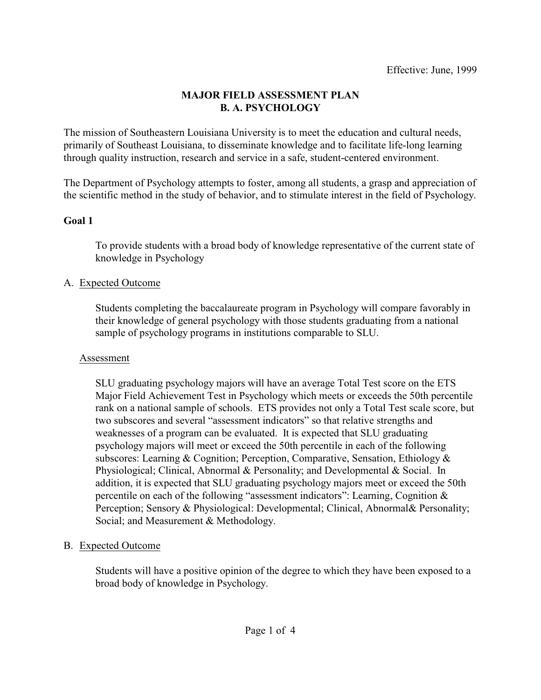#### **MAJOR FIELD ASSESSMENT PLAN B. A. PSYCHOLOGY**

The mission of Southeastern Louisiana University is to meet the education and cultural needs, primarily of Southeast Louisiana, to disseminate knowledge and to facilitate life-long learning through quality instruction, research and service in a safe, student-centered environment.

The Department of Psychology attempts to foster, among all students, a grasp and appreciation of the scientific method in the study of behavior, and to stimulate interest in the field of Psychology.

#### **Goal 1**

To provide students with a broad body of knowledge representative of the current state of knowledge in Psychology

### A. Expected Outcome

Students completing the baccalaureate program in Psychology will compare favorably in their knowledge of general psychology with those students graduating from a national sample of psychology programs in institutions comparable to SLU.

#### Assessment

SLU graduating psychology majors will have an average Total Test score on the ETS Major Field Achievement Test in Psychology which meets or exceeds the 50th percentile rank on a national sample of schools. ETS provides not only a Total Test scale score, but two subscores and several "assessment indicators" so that relative strengths and weaknesses of a program can be evaluated. It is expected that SLU graduating psychology majors will meet or exceed the 50th percentile in each of the following subscores: Learning & Cognition; Perception, Comparative, Sensation, Ethiology & Physiological; Clinical, Abnormal & Personality; and Developmental & Social. In addition, it is expected that SLU graduating psychology majors meet or exceed the 50th percentile on each of the following "assessment indicators": Learning, Cognition & Perception; Sensory & Physiological: Developmental; Clinical, Abnormal& Personality; Social; and Measurement & Methodology.

### B. Expected Outcome

Students will have a positive opinion of the degree to which they have been exposed to a broad body of knowledge in Psychology.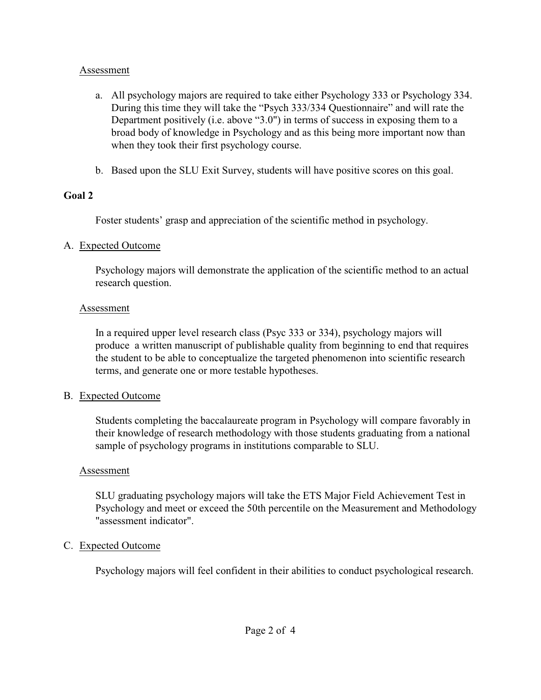#### Assessment

- a. All psychology majors are required to take either Psychology 333 or Psychology 334. During this time they will take the "Psych 333/334 Questionnaire" and will rate the Department positively (i.e. above "3.0") in terms of success in exposing them to a broad body of knowledge in Psychology and as this being more important now than when they took their first psychology course.
- b. Based upon the SLU Exit Survey, students will have positive scores on this goal.

### **Goal 2**

Foster students' grasp and appreciation of the scientific method in psychology.

# A. Expected Outcome

Psychology majors will demonstrate the application of the scientific method to an actual research question.

### Assessment

In a required upper level research class (Psyc 333 or 334), psychology majors will produce a written manuscript of publishable quality from beginning to end that requires the student to be able to conceptualize the targeted phenomenon into scientific research terms, and generate one or more testable hypotheses.

# B. Expected Outcome

Students completing the baccalaureate program in Psychology will compare favorably in their knowledge of research methodology with those students graduating from a national sample of psychology programs in institutions comparable to SLU.

# Assessment

SLU graduating psychology majors will take the ETS Major Field Achievement Test in Psychology and meet or exceed the 50th percentile on the Measurement and Methodology "assessment indicator".

# C. Expected Outcome

Psychology majors will feel confident in their abilities to conduct psychological research.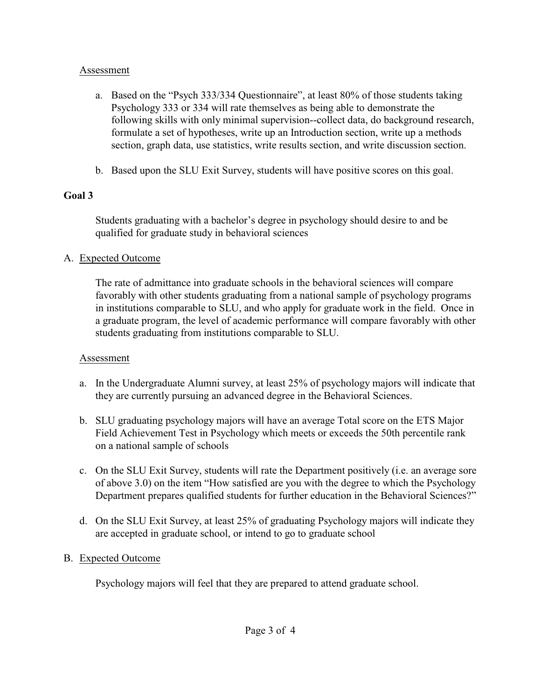#### Assessment

- a. Based on the "Psych 333/334 Questionnaire", at least 80% of those students taking Psychology 333 or 334 will rate themselves as being able to demonstrate the following skills with only minimal supervision--collect data, do background research, formulate a set of hypotheses, write up an Introduction section, write up a methods section, graph data, use statistics, write results section, and write discussion section.
- b. Based upon the SLU Exit Survey, students will have positive scores on this goal.

# **Goal 3**

Students graduating with a bachelor's degree in psychology should desire to and be qualified for graduate study in behavioral sciences

# A. Expected Outcome

The rate of admittance into graduate schools in the behavioral sciences will compare favorably with other students graduating from a national sample of psychology programs in institutions comparable to SLU, and who apply for graduate work in the field. Once in a graduate program, the level of academic performance will compare favorably with other students graduating from institutions comparable to SLU.

### Assessment

- a. In the Undergraduate Alumni survey, at least 25% of psychology majors will indicate that they are currently pursuing an advanced degree in the Behavioral Sciences.
- b. SLU graduating psychology majors will have an average Total score on the ETS Major Field Achievement Test in Psychology which meets or exceeds the 50th percentile rank on a national sample of schools
- c. On the SLU Exit Survey, students will rate the Department positively (i.e. an average sore of above 3.0) on the item "How satisfied are you with the degree to which the Psychology Department prepares qualified students for further education in the Behavioral Sciences?"
- d. On the SLU Exit Survey, at least 25% of graduating Psychology majors will indicate they are accepted in graduate school, or intend to go to graduate school

# B. Expected Outcome

Psychology majors will feel that they are prepared to attend graduate school.